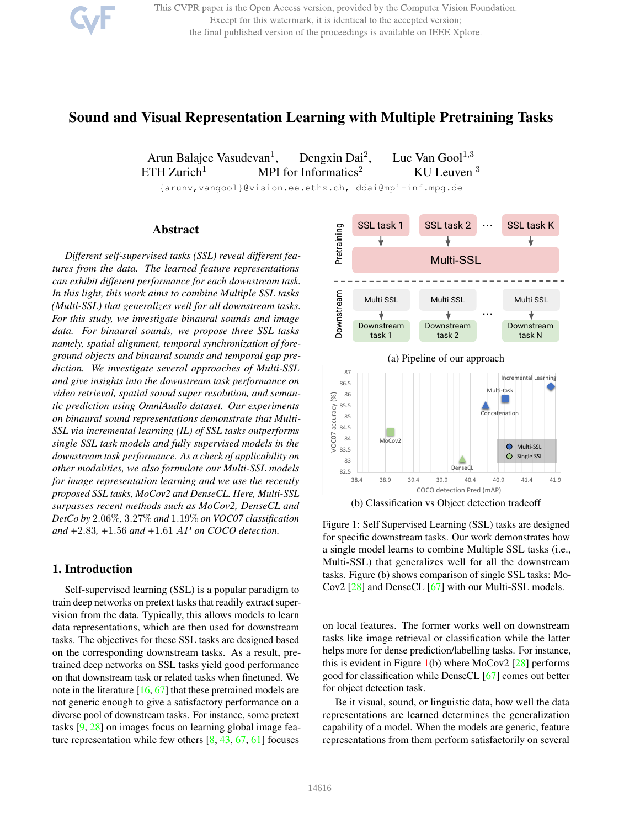This CVPR paper is the Open Access version, provided by the Computer Vision Foundation. Except for this watermark, it is identical to the accepted version; the final published version of the proceedings is available on IEEE Xplore.

# Sound and Visual Representation Learning with Multiple Pretraining Tasks

Arun Balajee Vasudevan<sup>1</sup>, Dengxin Dai<sup>2</sup>, Luc Van Gool $^{1,3}$ ETH Zurich<sup>1</sup> MPI for Informatics<sup>2</sup> KU Leuven<sup>3</sup>

{arunv,vangool}@vision.ee.ethz.ch, ddai@mpi-inf.mpg.de

## Abstract

*Different self-supervised tasks (SSL) reveal different features from the data. The learned feature representations can exhibit different performance for each downstream task. In this light, this work aims to combine Multiple SSL tasks (Multi-SSL) that generalizes well for all downstream tasks. For this study, we investigate binaural sounds and image data. For binaural sounds, we propose three SSL tasks namely, spatial alignment, temporal synchronization of foreground objects and binaural sounds and temporal gap prediction. We investigate several approaches of Multi-SSL and give insights into the downstream task performance on video retrieval, spatial sound super resolution, and semantic prediction using OmniAudio dataset. Our experiments on binaural sound representations demonstrate that Multi-SSL via incremental learning (IL) of SSL tasks outperforms single SSL task models and fully supervised models in the downstream task performance. As a check of applicability on other modalities, we also formulate our Multi-SSL models for image representation learning and we use the recently proposed SSL tasks, MoCov2 and DenseCL. Here, Multi-SSL surpasses recent methods such as MoCov2, DenseCL and DetCo by* 2.06%*,* 3.27% *and* 1.19% *on VOC07 classification and +*2.83*, +*1.56 *and +*1.61 AP *on COCO detection.*

## 1. Introduction

Self-supervised learning (SSL) is a popular paradigm to train deep networks on pretext tasks that readily extract supervision from the data. Typically, this allows models to learn data representations, which are then used for downstream tasks. The objectives for these SSL tasks are designed based on the corresponding downstream tasks. As a result, pretrained deep networks on SSL tasks yield good performance on that downstream task or related tasks when finetuned. We note in the literature [16, 67] that these pretrained models are not generic enough to give a satisfactory performance on a diverse pool of downstream tasks. For instance, some pretext tasks [9, 28] on images focus on learning global image feature representation while few others  $[8, 43, 67, 61]$  focuses



Figure 1: Self Supervised Learning (SSL) tasks are designed for specific downstream tasks. Our work demonstrates how a single model learns to combine Multiple SSL tasks (i.e., Multi-SSL) that generalizes well for all the downstream tasks. Figure (b) shows comparison of single SSL tasks: Mo-Cov2 [28] and DenseCL [67] with our Multi-SSL models.

on local features. The former works well on downstream tasks like image retrieval or classification while the latter helps more for dense prediction/labelling tasks. For instance, this is evident in Figure  $1(b)$  where MoCov2 [28] performs good for classification while DenseCL [67] comes out better for object detection task.

Be it visual, sound, or linguistic data, how well the data representations are learned determines the generalization capability of a model. When the models are generic, feature representations from them perform satisfactorily on several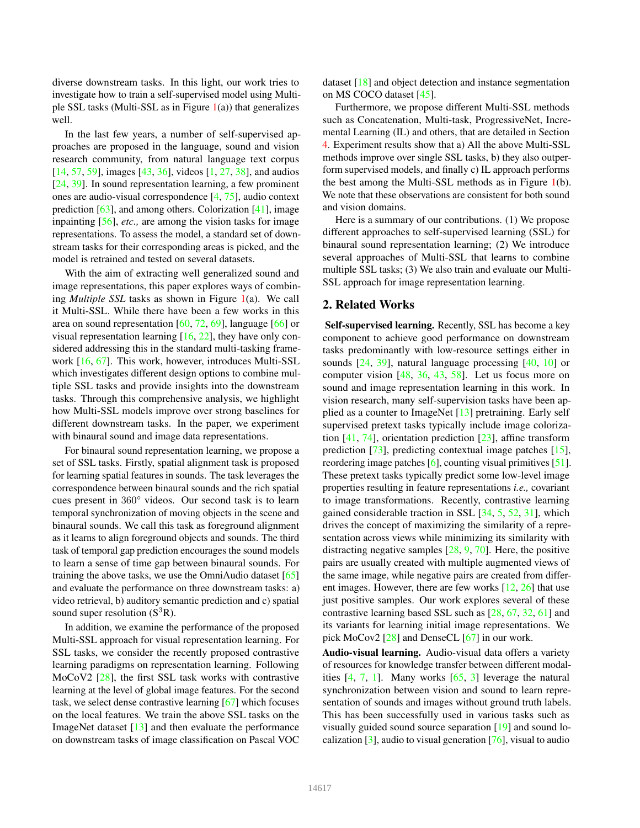diverse downstream tasks. In this light, our work tries to investigate how to train a self-supervised model using Multiple SSL tasks (Multi-SSL as in Figure  $1(a)$ ) that generalizes well.

In the last few years, a number of self-supervised approaches are proposed in the language, sound and vision research community, from natural language text corpus [14, 57, 59], images [43, 36], videos [1, 27, 38], and audios [24, 39]. In sound representation learning, a few prominent ones are audio-visual correspondence [4, 75], audio context prediction [63], and among others. Colorization [41], image inpainting [56], *etc.,* are among the vision tasks for image representations. To assess the model, a standard set of downstream tasks for their corresponding areas is picked, and the model is retrained and tested on several datasets.

With the aim of extracting well generalized sound and image representations, this paper explores ways of combining *Multiple SSL* tasks as shown in Figure 1(a). We call it Multi-SSL. While there have been a few works in this area on sound representation [60, 72, 69], language [66] or visual representation learning [16, 22], they have only considered addressing this in the standard multi-tasking framework [16, 67]. This work, however, introduces Multi-SSL which investigates different design options to combine multiple SSL tasks and provide insights into the downstream tasks. Through this comprehensive analysis, we highlight how Multi-SSL models improve over strong baselines for different downstream tasks. In the paper, we experiment with binaural sound and image data representations.

For binaural sound representation learning, we propose a set of SSL tasks. Firstly, spatial alignment task is proposed for learning spatial features in sounds. The task leverages the correspondence between binaural sounds and the rich spatial cues present in 360° videos. Our second task is to learn temporal synchronization of moving objects in the scene and binaural sounds. We call this task as foreground alignment as it learns to align foreground objects and sounds. The third task of temporal gap prediction encourages the sound models to learn a sense of time gap between binaural sounds. For training the above tasks, we use the OmniAudio dataset  $[65]$ and evaluate the performance on three downstream tasks: a) video retrieval, b) auditory semantic prediction and c) spatial sound super resolution  $(S^{3}R)$ .

In addition, we examine the performance of the proposed Multi-SSL approach for visual representation learning. For SSL tasks, we consider the recently proposed contrastive learning paradigms on representation learning. Following MoCoV2 [28], the first SSL task works with contrastive learning at the level of global image features. For the second task, we select dense contrastive learning [67] which focuses on the local features. We train the above SSL tasks on the ImageNet dataset [13] and then evaluate the performance on downstream tasks of image classification on Pascal VOC dataset [18] and object detection and instance segmentation on MS COCO dataset [45].

Furthermore, we propose different Multi-SSL methods such as Concatenation, Multi-task, ProgressiveNet, Incremental Learning (IL) and others, that are detailed in Section 4. Experiment results show that a) All the above Multi-SSL methods improve over single SSL tasks, b) they also outperform supervised models, and finally c) IL approach performs the best among the Multi-SSL methods as in Figure 1(b). We note that these observations are consistent for both sound and vision domains.

Here is a summary of our contributions. (1) We propose different approaches to self-supervised learning (SSL) for binaural sound representation learning; (2) We introduce several approaches of Multi-SSL that learns to combine multiple SSL tasks; (3) We also train and evaluate our Multi-SSL approach for image representation learning.

## 2. Related Works

Self-supervised learning. Recently, SSL has become a key component to achieve good performance on downstream tasks predominantly with low-resource settings either in sounds [24, 39], natural language processing [40, 10] or computer vision [48, 36, 43, 58]. Let us focus more on sound and image representation learning in this work. In vision research, many self-supervision tasks have been applied as a counter to ImageNet [13] pretraining. Early self supervised pretext tasks typically include image colorization  $[41, 74]$ , orientation prediction  $[23]$ , affine transform prediction [73], predicting contextual image patches [15], reordering image patches  $[6]$ , counting visual primitives  $[51]$ . These pretext tasks typically predict some low-level image properties resulting in feature representations *i.e.,* covariant to image transformations. Recently, contrastive learning gained considerable traction in SSL [34, 5, 52, 31], which drives the concept of maximizing the similarity of a representation across views while minimizing its similarity with distracting negative samples [28, 9, 70]. Here, the positive pairs are usually created with multiple augmented views of the same image, while negative pairs are created from different images. However, there are few works [12, 26] that use just positive samples. Our work explores several of these contrastive learning based SSL such as [28, 67, 32, 61] and its variants for learning initial image representations. We pick MoCov2 [28] and DenseCL [67] in our work.

Audio-visual learning. Audio-visual data offers a variety of resources for knowledge transfer between different modalities  $[4, 7, 1]$ . Many works  $[65, 3]$  leverage the natural synchronization between vision and sound to learn representation of sounds and images without ground truth labels. This has been successfully used in various tasks such as visually guided sound source separation [19] and sound localization  $[3]$ , audio to visual generation  $[76]$ , visual to audio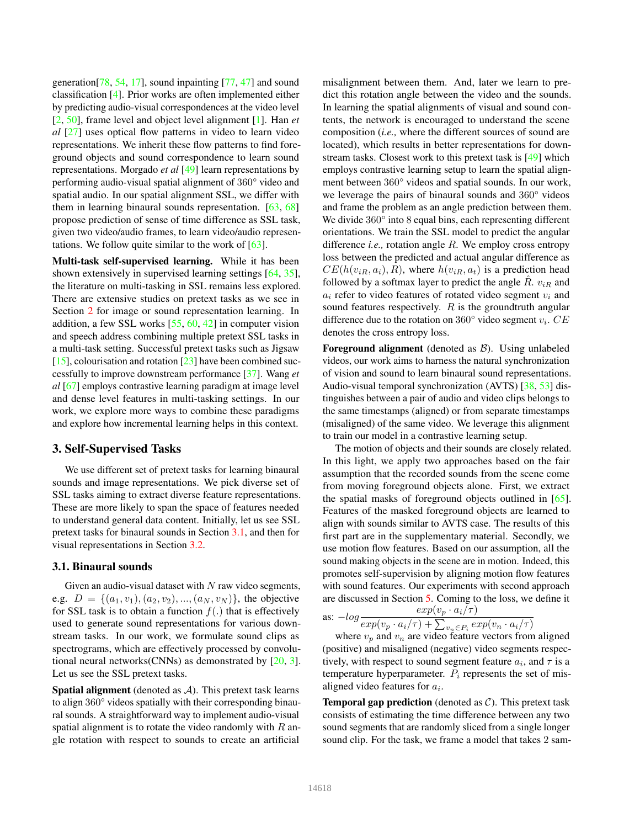generation[78, 54, 17], sound inpainting [77, 47] and sound classification [4]. Prior works are often implemented either by predicting audio-visual correspondences at the video level [2, 50], frame level and object level alignment [1]. Han *et al* [27] uses optical flow patterns in video to learn video representations. We inherit these flow patterns to find foreground objects and sound correspondence to learn sound representations. Morgado *et al* [49] learn representations by performing audio-visual spatial alignment of 360° video and spatial audio. In our spatial alignment SSL, we differ with them in learning binaural sounds representation. [63, 68] propose prediction of sense of time difference as SSL task, given two video/audio frames, to learn video/audio representations. We follow quite similar to the work of [63].

Multi-task self-supervised learning. While it has been shown extensively in supervised learning settings [64, 35], the literature on multi-tasking in SSL remains less explored. There are extensive studies on pretext tasks as we see in Section 2 for image or sound representation learning. In addition, a few SSL works [55, 60, 42] in computer vision and speech address combining multiple pretext SSL tasks in a multi-task setting. Successful pretext tasks such as Jigsaw [15], colourisation and rotation  $[23]$  have been combined successfully to improve downstream performance [37]. Wang *et al* [67] employs contrastive learning paradigm at image level and dense level features in multi-tasking settings. In our work, we explore more ways to combine these paradigms and explore how incremental learning helps in this context.

### 3. Self-Supervised Tasks

We use different set of pretext tasks for learning binaural sounds and image representations. We pick diverse set of SSL tasks aiming to extract diverse feature representations. These are more likely to span the space of features needed to understand general data content. Initially, let us see SSL pretext tasks for binaural sounds in Section 3.1, and then for visual representations in Section 3.2.

#### 3.1. Binaural sounds

Given an audio-visual dataset with  $N$  raw video segments, e.g.  $D = \{(a_1, v_1), (a_2, v_2), ..., (a_N, v_N)\}\$ , the objective for SSL task is to obtain a function  $f(.)$  that is effectively used to generate sound representations for various downstream tasks. In our work, we formulate sound clips as spectrograms, which are effectively processed by convolutional neural networks(CNNs) as demonstrated by [20, 3]. Let us see the SSL pretext tasks.

**Spatial alignment** (denoted as  $A$ ). This pretext task learns to align 360° videos spatially with their corresponding binaural sounds. A straightforward way to implement audio-visual spatial alignment is to rotate the video randomly with  $R$  angle rotation with respect to sounds to create an artificial

misalignment between them. And, later we learn to predict this rotation angle between the video and the sounds. In learning the spatial alignments of visual and sound contents, the network is encouraged to understand the scene composition (*i.e.,* where the different sources of sound are located), which results in better representations for downstream tasks. Closest work to this pretext task is [49] which employs contrastive learning setup to learn the spatial alignment between 360° videos and spatial sounds. In our work, we leverage the pairs of binaural sounds and 360° videos and frame the problem as an angle prediction between them. We divide 360 $\degree$  into 8 equal bins, each representing different orientations. We train the SSL model to predict the angular difference *i.e.,* rotation angle R. We employ cross entropy loss between the predicted and actual angular difference as  $CE(h(v_{iR}, a_i), R)$ , where  $h(v_{iR}, a_t)$  is a prediction head followed by a softmax layer to predict the angle  $R$ .  $v_{iR}$  and  $a_i$  refer to video features of rotated video segment  $v_i$  and sound features respectively.  $R$  is the groundtruth angular difference due to the rotation on  $360^{\circ}$  video segment  $v_i$ .  $CE$ denotes the cross entropy loss.

**Foreground alignment** (denoted as  $\mathcal{B}$ ). Using unlabeled videos, our work aims to harness the natural synchronization of vision and sound to learn binaural sound representations. Audio-visual temporal synchronization (AVTS) [38, 53] distinguishes between a pair of audio and video clips belongs to the same timestamps (aligned) or from separate timestamps (misaligned) of the same video. We leverage this alignment to train our model in a contrastive learning setup.

The motion of objects and their sounds are closely related. In this light, we apply two approaches based on the fair assumption that the recorded sounds from the scene come from moving foreground objects alone. First, we extract the spatial masks of foreground objects outlined in [65]. Features of the masked foreground objects are learned to align with sounds similar to AVTS case. The results of this first part are in the supplementary material. Secondly, we use motion flow features. Based on our assumption, all the sound making objects in the scene are in motion. Indeed, this promotes self-supervision by aligning motion flow features with sound features. Our experiments with second approach are discussed in Section 5. Coming to the loss, we define it

as: 
$$
-log \frac{exp(v_p \cdot a_i/\tau)}{exp(v_p \cdot a_i/\tau) + \sum_{v_n \in P_i} exp(v_n \cdot a_i/\tau)}
$$

where  $v_p$  and  $v_n$  are video feature vectors from aligned (positive) and misaligned (negative) video segments respectively, with respect to sound segment feature  $a_i$ , and  $\tau$  is a temperature hyperparameter.  $P_i$  represents the set of misaligned video features for  $a_i$ .

**Temporal gap prediction** (denoted as  $C$ ). This pretext task consists of estimating the time difference between any two sound segments that are randomly sliced from a single longer sound clip. For the task, we frame a model that takes 2 sam-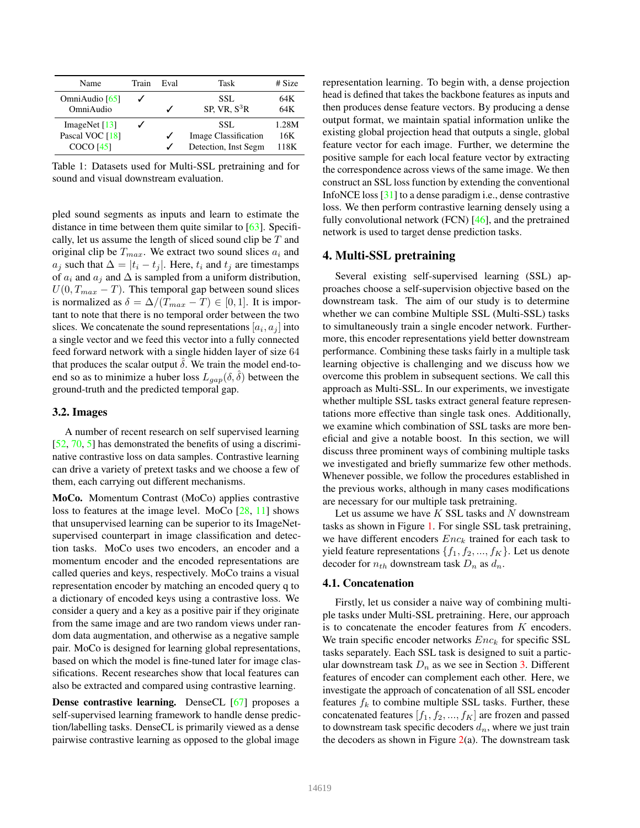| Name                                                   | Train | Eval | Task                                                        | # Size               |
|--------------------------------------------------------|-------|------|-------------------------------------------------------------|----------------------|
| OmniAudio [65]<br>OmniAudio                            |       |      | SSL.<br>SP. VR. $S^3R$                                      | 64K<br>64K           |
| ImageNet $[13]$<br>Pascal VOC [18]<br><b>COCO</b> [45] |       |      | SSL.<br><b>Image Classification</b><br>Detection, Inst Segm | 1.28M<br>16K<br>118K |

Table 1: Datasets used for Multi-SSL pretraining and for sound and visual downstream evaluation.

pled sound segments as inputs and learn to estimate the distance in time between them quite similar to [63]. Specifically, let us assume the length of sliced sound clip be  $T$  and original clip be  $T_{max}$ . We extract two sound slices  $a_i$  and  $a_j$  such that  $\Delta = |t_i - t_j|$ . Here,  $t_i$  and  $t_j$  are timestamps of  $a_i$  and  $a_j$  and  $\Delta$  is sampled from a uniform distribution,  $U(0, T_{max} - T)$ . This temporal gap between sound slices is normalized as  $\delta = \Delta/(T_{max} - T) \in [0, 1]$ . It is important to note that there is no temporal order between the two slices. We concatenate the sound representations  $[a_i, a_j]$  into a single vector and we feed this vector into a fully connected feed forward network with a single hidden layer of size 64 that produces the scalar output  $\delta$ . We train the model end-toend so as to minimize a huber loss  $L_{gap}(\delta, \delta)$  between the ground-truth and the predicted temporal gap.

#### 3.2. Images

A number of recent research on self supervised learning [52, 70, 5] has demonstrated the benefits of using a discriminative contrastive loss on data samples. Contrastive learning can drive a variety of pretext tasks and we choose a few of them, each carrying out different mechanisms.

MoCo. Momentum Contrast (MoCo) applies contrastive loss to features at the image level. MoCo [28, 11] shows that unsupervised learning can be superior to its ImageNetsupervised counterpart in image classification and detection tasks. MoCo uses two encoders, an encoder and a momentum encoder and the encoded representations are called queries and keys, respectively. MoCo trains a visual representation encoder by matching an encoded query q to a dictionary of encoded keys using a contrastive loss. We consider a query and a key as a positive pair if they originate from the same image and are two random views under random data augmentation, and otherwise as a negative sample pair. MoCo is designed for learning global representations, based on which the model is fine-tuned later for image classifications. Recent researches show that local features can also be extracted and compared using contrastive learning.

Dense contrastive learning. DenseCL [67] proposes a self-supervised learning framework to handle dense prediction/labelling tasks. DenseCL is primarily viewed as a dense pairwise contrastive learning as opposed to the global image

representation learning. To begin with, a dense projection head is defined that takes the backbone features as inputs and then produces dense feature vectors. By producing a dense output format, we maintain spatial information unlike the existing global projection head that outputs a single, global feature vector for each image. Further, we determine the positive sample for each local feature vector by extracting the correspondence across views of the same image. We then construct an SSL loss function by extending the conventional InfoNCE loss [31] to a dense paradigm i.e., dense contrastive loss. We then perform contrastive learning densely using a fully convolutional network (FCN)  $[46]$ , and the pretrained network is used to target dense prediction tasks.

#### 4. Multi-SSL pretraining

Several existing self-supervised learning (SSL) approaches choose a self-supervision objective based on the downstream task. The aim of our study is to determine whether we can combine Multiple SSL (Multi-SSL) tasks to simultaneously train a single encoder network. Furthermore, this encoder representations yield better downstream performance. Combining these tasks fairly in a multiple task learning objective is challenging and we discuss how we overcome this problem in subsequent sections. We call this approach as Multi-SSL. In our experiments, we investigate whether multiple SSL tasks extract general feature representations more effective than single task ones. Additionally, we examine which combination of SSL tasks are more beneficial and give a notable boost. In this section, we will discuss three prominent ways of combining multiple tasks we investigated and briefly summarize few other methods. Whenever possible, we follow the procedures established in the previous works, although in many cases modifications are necessary for our multiple task pretraining.

Let us assume we have  $K$  SSL tasks and  $N$  downstream tasks as shown in Figure 1. For single SSL task pretraining, we have different encoders  $Enc_k$  trained for each task to yield feature representations  $\{f_1, f_2, ..., f_K\}$ . Let us denote decoder for  $n_{th}$  downstream task  $D_n$  as  $d_n$ .

#### 4.1. Concatenation

Firstly, let us consider a naive way of combining multiple tasks under Multi-SSL pretraining. Here, our approach is to concatenate the encoder features from  $K$  encoders. We train specific encoder networks  $Enc_k$  for specific SSL tasks separately. Each SSL task is designed to suit a particular downstream task  $D_n$  as we see in Section 3. Different features of encoder can complement each other. Here, we investigate the approach of concatenation of all SSL encoder features  $f_k$  to combine multiple SSL tasks. Further, these concatenated features  $[f_1, f_2, ..., f_K]$  are frozen and passed to downstream task specific decoders  $d_n$ , where we just train the decoders as shown in Figure  $2(a)$ . The downstream task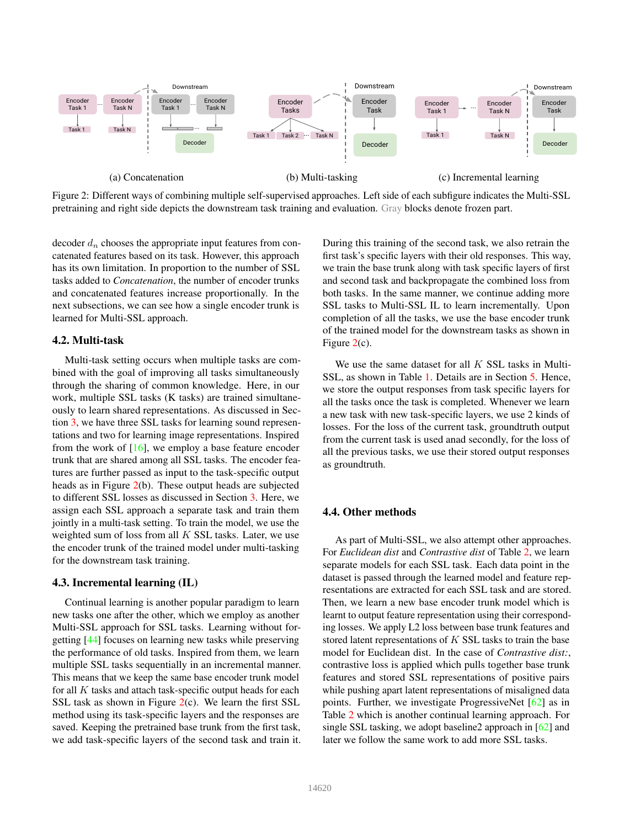

Figure 2: Different ways of combining multiple self-supervised approaches. Left side of each subfigure indicates the Multi-SSL pretraining and right side depicts the downstream task training and evaluation. Gray blocks denote frozen part.

decoder  $d_n$  chooses the appropriate input features from concatenated features based on its task. However, this approach has its own limitation. In proportion to the number of SSL tasks added to *Concatenation*, the number of encoder trunks and concatenated features increase proportionally. In the next subsections, we can see how a single encoder trunk is learned for Multi-SSL approach.

## 4.2. Multi-task

Multi-task setting occurs when multiple tasks are combined with the goal of improving all tasks simultaneously through the sharing of common knowledge. Here, in our work, multiple SSL tasks (K tasks) are trained simultaneously to learn shared representations. As discussed in Section 3, we have three SSL tasks for learning sound representations and two for learning image representations. Inspired from the work of [16], we employ a base feature encoder trunk that are shared among all SSL tasks. The encoder features are further passed as input to the task-specific output heads as in Figure 2(b). These output heads are subjected to different SSL losses as discussed in Section 3. Here, we assign each SSL approach a separate task and train them jointly in a multi-task setting. To train the model, we use the weighted sum of loss from all  $K$  SSL tasks. Later, we use the encoder trunk of the trained model under multi-tasking for the downstream task training.

#### 4.3. Incremental learning (IL)

Continual learning is another popular paradigm to learn new tasks one after the other, which we employ as another Multi-SSL approach for SSL tasks. Learning without forgetting [44] focuses on learning new tasks while preserving the performance of old tasks. Inspired from them, we learn multiple SSL tasks sequentially in an incremental manner. This means that we keep the same base encoder trunk model for all  $K$  tasks and attach task-specific output heads for each SSL task as shown in Figure  $2(c)$ . We learn the first SSL method using its task-specific layers and the responses are saved. Keeping the pretrained base trunk from the first task, we add task-specific layers of the second task and train it. During this training of the second task, we also retrain the first task's specific layers with their old responses. This way, we train the base trunk along with task specific layers of first and second task and backpropagate the combined loss from both tasks. In the same manner, we continue adding more SSL tasks to Multi-SSL IL to learn incrementally. Upon completion of all the tasks, we use the base encoder trunk of the trained model for the downstream tasks as shown in Figure 2(c).

We use the same dataset for all  $K$  SSL tasks in Multi-SSL, as shown in Table 1. Details are in Section 5. Hence, we store the output responses from task specific layers for all the tasks once the task is completed. Whenever we learn a new task with new task-specific layers, we use 2 kinds of losses. For the loss of the current task, groundtruth output from the current task is used anad secondly, for the loss of all the previous tasks, we use their stored output responses as groundtruth.

### 4.4. Other methods

As part of Multi-SSL, we also attempt other approaches. For *Euclidean dist* and *Contrastive dist* of Table 2, we learn separate models for each SSL task. Each data point in the dataset is passed through the learned model and feature representations are extracted for each SSL task and are stored. Then, we learn a new base encoder trunk model which is learnt to output feature representation using their corresponding losses. We apply L2 loss between base trunk features and stored latent representations of K SSL tasks to train the base model for Euclidean dist. In the case of *Contrastive dist:*, contrastive loss is applied which pulls together base trunk features and stored SSL representations of positive pairs while pushing apart latent representations of misaligned data points. Further, we investigate ProgressiveNet [62] as in Table 2 which is another continual learning approach. For single SSL tasking, we adopt baseline2 approach in [62] and later we follow the same work to add more SSL tasks.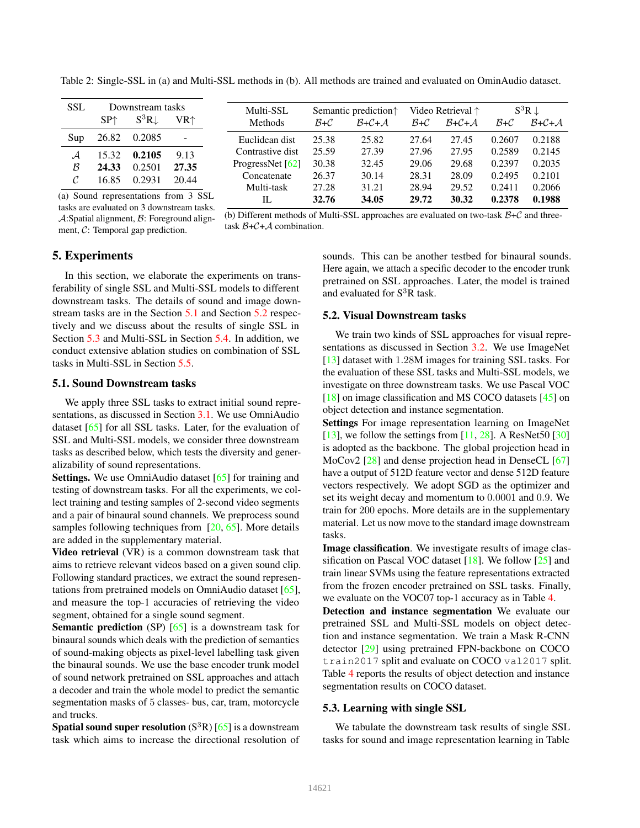| <b>SSL</b>                                                                                                                                              | Downstream tasks |                  | Multi-SSL                | Semantic prediction <sup><math>\uparrow</math></sup> |       | Video Retrieval $\uparrow$ |        | $S^3R \downarrow$ |        |             |
|---------------------------------------------------------------------------------------------------------------------------------------------------------|------------------|------------------|--------------------------|------------------------------------------------------|-------|----------------------------|--------|-------------------|--------|-------------|
|                                                                                                                                                         | SP <sub>1</sub>  | $S^3R\downarrow$ | VR <sup>†</sup>          | Methods                                              | $B+C$ | $B + C + A$                | $B+C$  | $B + C + A$       | $B+C$  | $B + C + A$ |
| Sup                                                                                                                                                     | 26.82            | 0.2085           | $\overline{\phantom{a}}$ | Euclidean dist                                       | 25.38 | 25.82                      | 27.64  | 27.45             | 0.2607 | 0.2188      |
| $\mathcal A$                                                                                                                                            | 15.32            | 0.2105           | 9.13                     | Contrastive dist                                     | 25.59 | 27.39                      | 27.96  | 27.95             | 0.2589 | 0.2145      |
| ß                                                                                                                                                       | 24.33            | 0.2501           | 27.35                    | ProgressNet $[62]$                                   | 30.38 | 32.45                      | 29.06  | 29.68             | 0.2397 | 0.2035      |
|                                                                                                                                                         | 16.85            | 0.2931           | 20.44                    | Concatenate                                          | 26.37 | 30.14                      | 28.31  | 28.09             | 0.2495 | 0.2101      |
|                                                                                                                                                         |                  |                  |                          | Multi-task                                           | 27.28 | 31.21                      | 28.94  | 29.52             | 0.2411 | 0.2066      |
| (a) Sound representations from 3 SSL<br>the contract of the contract of the contract of the contract of the contract of the contract of the contract of |                  | IL               | 32.76                    | 34.05                                                | 29.72 | 30.32                      | 0.2378 | 0.1988            |        |             |

Table 2: Single-SSL in (a) and Multi-SSL methods in (b). All methods are trained and evaluated on OminAudio dataset.

tasks are evaluated on 3 downstream tasks. A:Spatial alignment, B: Foreground alignment, C: Temporal gap prediction.

(b) Different methods of Multi-SSL approaches are evaluated on two-task  $\mathcal{B}+\mathcal{C}$  and threetask  $B + C + A$  combination.

## 5. Experiments

In this section, we elaborate the experiments on transferability of single SSL and Multi-SSL models to different downstream tasks. The details of sound and image downstream tasks are in the Section 5.1 and Section 5.2 respectively and we discuss about the results of single SSL in Section 5.3 and Multi-SSL in Section 5.4. In addition, we conduct extensive ablation studies on combination of SSL tasks in Multi-SSL in Section 5.5.

## 5.1. Sound Downstream tasks

We apply three SSL tasks to extract initial sound representations, as discussed in Section 3.1. We use OmniAudio dataset [65] for all SSL tasks. Later, for the evaluation of SSL and Multi-SSL models, we consider three downstream tasks as described below, which tests the diversity and generalizability of sound representations.

Settings. We use OmniAudio dataset [65] for training and testing of downstream tasks. For all the experiments, we collect training and testing samples of 2-second video segments and a pair of binaural sound channels. We preprocess sound samples following techniques from [20, 65]. More details are added in the supplementary material.

Video retrieval (VR) is a common downstream task that aims to retrieve relevant videos based on a given sound clip. Following standard practices, we extract the sound representations from pretrained models on OmniAudio dataset [65], and measure the top-1 accuracies of retrieving the video segment, obtained for a single sound segment.

**Semantic prediction** (SP)  $[65]$  is a downstream task for binaural sounds which deals with the prediction of semantics of sound-making objects as pixel-level labelling task given the binaural sounds. We use the base encoder trunk model of sound network pretrained on SSL approaches and attach a decoder and train the whole model to predict the semantic segmentation masks of 5 classes- bus, car, tram, motorcycle and trucks.

**Spatial sound super resolution**  $(S^{3}R)$  [65] is a downstream task which aims to increase the directional resolution of sounds. This can be another testbed for binaural sounds. Here again, we attach a specific decoder to the encoder trunk pretrained on SSL approaches. Later, the model is trained and evaluated for S<sup>3</sup>R task.

### 5.2. Visual Downstream tasks

We train two kinds of SSL approaches for visual representations as discussed in Section 3.2. We use ImageNet [13] dataset with 1.28M images for training SSL tasks. For the evaluation of these SSL tasks and Multi-SSL models, we investigate on three downstream tasks. We use Pascal VOC [18] on image classification and MS COCO datasets [45] on object detection and instance segmentation.

Settings For image representation learning on ImageNet [13], we follow the settings from  $[11, 28]$ . A ResNet50 [30] is adopted as the backbone. The global projection head in MoCov2 [28] and dense projection head in DenseCL [67] have a output of 512D feature vector and dense 512D feature vectors respectively. We adopt SGD as the optimizer and set its weight decay and momentum to 0.0001 and 0.9. We train for 200 epochs. More details are in the supplementary material. Let us now move to the standard image downstream tasks.

Image classification. We investigate results of image classification on Pascal VOC dataset [18]. We follow [25] and train linear SVMs using the feature representations extracted from the frozen encoder pretrained on SSL tasks. Finally, we evaluate on the VOC07 top-1 accuracy as in Table 4.

Detection and instance segmentation We evaluate our pretrained SSL and Multi-SSL models on object detection and instance segmentation. We train a Mask R-CNN detector [29] using pretrained FPN-backbone on COCO train2017 split and evaluate on COCO val2017 split. Table 4 reports the results of object detection and instance segmentation results on COCO dataset.

#### 5.3. Learning with single SSL

We tabulate the downstream task results of single SSL tasks for sound and image representation learning in Table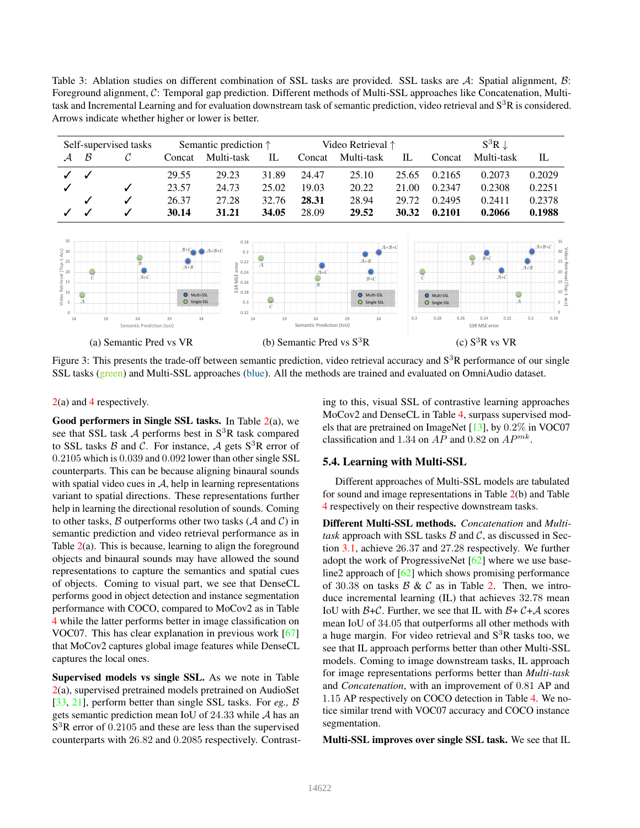Table 3: Ablation studies on different combination of SSL tasks are provided. SSL tasks are A: Spatial alignment, B: Foreground alignment, C: Temporal gap prediction. Different methods of Multi-SSL approaches like Concatenation, Multitask and Incremental Learning and for evaluation downstream task of semantic prediction, video retrieval and  $S<sup>3</sup>R$  is considered. Arrows indicate whether higher or lower is better.

|                                                                                                                                                                                                                       |                           | Self-supervised tasks              |                                                     | Semantic prediction $\uparrow$                                                                                                                         |                           |                              | Video Retrieval <sup>↑</sup>                            |                     |                                           | $S^3R\downarrow$                                                                                 |                                                                                                                               |
|-----------------------------------------------------------------------------------------------------------------------------------------------------------------------------------------------------------------------|---------------------------|------------------------------------|-----------------------------------------------------|--------------------------------------------------------------------------------------------------------------------------------------------------------|---------------------------|------------------------------|---------------------------------------------------------|---------------------|-------------------------------------------|--------------------------------------------------------------------------------------------------|-------------------------------------------------------------------------------------------------------------------------------|
| ${\cal A}$                                                                                                                                                                                                            | $\mathcal B$              | C                                  | Concat                                              | Multi-task                                                                                                                                             | $\mathbb{L}$              | Concat                       | Multi-task                                              | IL                  | Concat                                    | Multi-task                                                                                       | $\mathbb{L}$                                                                                                                  |
|                                                                                                                                                                                                                       |                           |                                    | 29.55                                               | 29.23                                                                                                                                                  | 31.89                     | 24.47                        | 25.10                                                   | 25.65               | 0.2165                                    | 0.2073                                                                                           | 0.2029                                                                                                                        |
|                                                                                                                                                                                                                       |                           | √                                  | 23.57                                               | 24.73                                                                                                                                                  | 25.02                     | 19.03                        | 20.22                                                   | 21.00               | 0.2347                                    | 0.2308                                                                                           | 0.2251                                                                                                                        |
|                                                                                                                                                                                                                       |                           | √                                  | 26.37                                               | 27.28                                                                                                                                                  | 32.76                     | 28.31                        | 28.94                                                   | 29.72               | 0.2495                                    | 0.2411                                                                                           | 0.2378                                                                                                                        |
|                                                                                                                                                                                                                       |                           | ✓                                  | 30.14                                               | 31.21                                                                                                                                                  | 34.05                     | 28.09                        | 29.52                                                   | 30.32               | 0.2101                                    | 0.2066                                                                                           | 0.1988                                                                                                                        |
| 35<br>$\begin{array}{ccc}\n\text{Vilde O} & \text{Riem} & \text{U}{\small I} & \text{A}{\small C} \\ \text{Vilde O} & \text{D} & \text{D} & \text{D} \\ \text{V} & \text{I} & \text{I} & \text{I}\n\end{array}$<br>14 | $\mathcal{A}$             | $\mathcal{R}$<br>$A+C$<br>19<br>24 | $B+C$<br>$A+B$<br>O Multi-SSL<br>O Single SSL<br>29 | 0.18<br>$A+B+C$<br>0.2<br>$\sum_{\text{min}}^{\text{D}}$ 0.22<br>$\sum_{\text{min}}^{\text{D}}$ 0.24<br>$\frac{1}{60}$ 0.28<br>0.3<br>0.32<br>34<br>14 | A<br>С<br>19              | $A+C$<br>$\mathcal{R}$<br>24 | $A+B$<br>$B+C$<br>Multi-SSL<br>O Single SSL<br>29<br>34 | $A+B+C$<br>C<br>0.3 | Multi-SSL<br>O Single SSL<br>0.28<br>0.26 | $\frac{1}{\beta}$<br>$B+C$<br>$A+C$<br>$\overline{\phantom{0}}$<br>$\mathcal{A}$<br>0.24<br>0.22 | 35<br>$A+B+C$<br>$30$ $25$ $20$ $35$ $20$ $15$ $10$ $\frac{1}{10}$ $\frac{1}{10}$<br>$A + B$<br>$5\frac{8}{5}$<br>0.2<br>0.18 |
|                                                                                                                                                                                                                       | Semantic Prediction (IoU) |                                    |                                                     |                                                                                                                                                        | Semantic Prediction (IoU) |                              |                                                         |                     | S3R MSE error                             |                                                                                                  |                                                                                                                               |
| (a) Semantic Pred vs VR                                                                                                                                                                                               |                           |                                    |                                                     |                                                                                                                                                        |                           | (b) Semantic Pred vs $S^3R$  |                                                         |                     |                                           | (c) $S^3R$ vs VR                                                                                 |                                                                                                                               |

Figure 3: This presents the trade-off between semantic prediction, video retrieval accuracy and  $S<sup>3</sup>R$  performance of our single SSL tasks (green) and Multi-SSL approaches (blue). All the methods are trained and evaluated on OmniAudio dataset.

2(a) and 4 respectively.

Good performers in Single SSL tasks. In Table 2(a), we see that SSL task  $\mathcal A$  performs best in  $S^3R$  task compared to SSL tasks  $\beta$  and  $\beta$ . For instance,  $\mathcal{A}$  gets  $S^3$ R error of 0.2105 which is 0.039 and 0.092 lower than other single SSL counterparts. This can be because aligning binaural sounds with spatial video cues in  $A$ , help in learning representations variant to spatial directions. These representations further help in learning the directional resolution of sounds. Coming to other tasks,  $\beta$  outperforms other two tasks ( $\beta$  and  $\beta$ ) in semantic prediction and video retrieval performance as in Table 2(a). This is because, learning to align the foreground objects and binaural sounds may have allowed the sound representations to capture the semantics and spatial cues of objects. Coming to visual part, we see that DenseCL performs good in object detection and instance segmentation performance with COCO, compared to MoCov2 as in Table 4 while the latter performs better in image classification on VOC07. This has clear explanation in previous work  $[67]$ that MoCov2 captures global image features while DenseCL captures the local ones.

Supervised models vs single SSL. As we note in Table 2(a), supervised pretrained models pretrained on AudioSet [33, 21], perform better than single SSL tasks. For *eg.,* B gets semantic prediction mean IoU of 24.33 while A has an S<sup>3</sup>R error of 0.2105 and these are less than the supervised counterparts with 26.82 and 0.2085 respectively. Contrasting to this, visual SSL of contrastive learning approaches MoCov2 and DenseCL in Table 4, surpass supervised models that are pretrained on ImageNet  $[13]$ , by  $0.2\%$  in VOC07 classification and 1.34 on  $AP$  and 0.82 on  $AP^{mk}$ .

#### 5.4. Learning with Multi-SSL

Different approaches of Multi-SSL models are tabulated for sound and image representations in Table 2(b) and Table 4 respectively on their respective downstream tasks.

Different Multi-SSL methods. *Concatenation* and *Multitask* approach with SSL tasks  $\beta$  and  $\beta$ , as discussed in Section 3.1, achieve 26.37 and 27.28 respectively. We further adopt the work of ProgressiveNet  $[62]$  where we use baseline2 approach of [62] which shows promising performance of 30.38 on tasks  $\beta \& \mathcal{C}$  as in Table 2. Then, we introduce incremental learning (IL) that achieves 32.78 mean IoU with  $\beta + C$ . Further, we see that IL with  $\beta + C + A$  scores mean IoU of 34.05 that outperforms all other methods with a huge margin. For video retrieval and  $S<sup>3</sup>R$  tasks too, we see that IL approach performs better than other Multi-SSL models. Coming to image downstream tasks, IL approach for image representations performs better than *Multi-task* and *Concatenation*, with an improvement of 0.81 AP and 1.15 AP respectively on COCO detection in Table 4. We notice similar trend with VOC07 accuracy and COCO instance segmentation.

Multi-SSL improves over single SSL task. We see that IL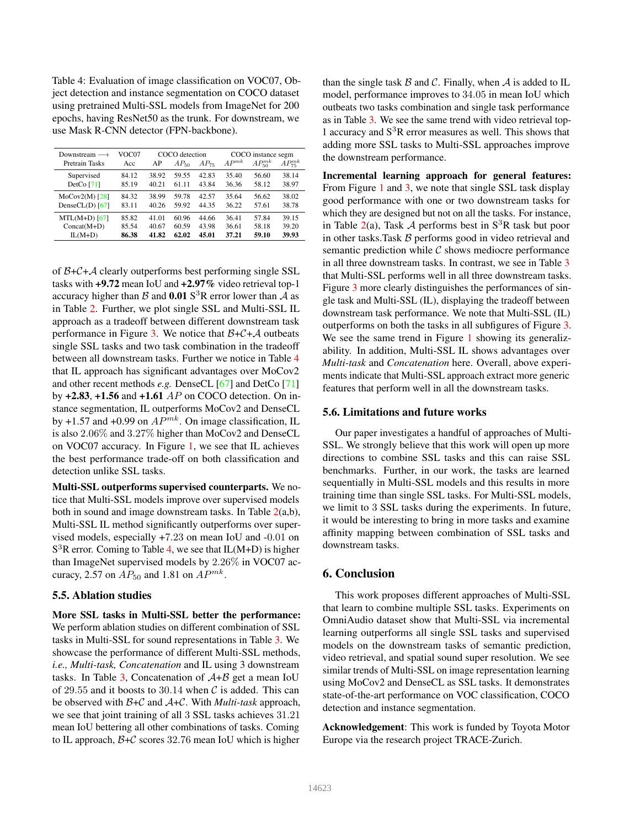Table 4: Evaluation of image classification on VOC07, Object detection and instance segmentation on COCO dataset using pretrained Multi-SSL models from ImageNet for 200 epochs, having ResNet50 as the trunk. For downstream, we use Mask R-CNN detector (FPN-backbone).

| Downstream $\longrightarrow$<br><b>Pretrain Tasks</b> | VOC07<br>Acc | COCO detection<br>$AP_{75}$<br>$AP_{50}$<br>AP |       |       | COCO instance segm<br>$AP_{50}^{mk}$<br>$AP^{mk}$<br>$AP_{75}^{mk}$ |       |       |
|-------------------------------------------------------|--------------|------------------------------------------------|-------|-------|---------------------------------------------------------------------|-------|-------|
| Supervised                                            | 84.12        | 38.92                                          | 59.55 | 42.83 | 35.40                                                               | 56.60 | 38.14 |
| DetCo $[71]$                                          | 85.19        | 40.21                                          | 61 11 | 43.84 | 36.36                                                               | 58.12 | 38.97 |
| $MoCov2(M)$ [28]                                      | 84.32        | 38.99                                          | 59.78 | 42.57 | 35.64                                                               | 56.62 | 38.02 |
| DenseCL(D) $[67]$                                     | 83.11        | 40.26                                          | 59.92 | 44.35 | 36.22                                                               | 57.61 | 38.78 |
| $MTL(M+D)$ [67]                                       | 85.82        | 41.01                                          | 60.96 | 44.66 | 36.41                                                               | 57.84 | 39.15 |
| $Concat(M+D)$                                         | 85.54        | 40.67                                          | 60.59 | 43.98 | 36.61                                                               | 58.18 | 39.20 |
| $IL(M+D)$                                             | 86.38        | 41.82                                          | 62.02 | 45.01 | 37.21                                                               | 59.10 | 39.93 |

of  $B+C+A$  clearly outperforms best performing single SSL tasks with +9.72 mean IoU and +2.97% video retrieval top-1 accuracy higher than  $\beta$  and 0.01 S<sup>3</sup>R error lower than  $\mathcal A$  as in Table 2. Further, we plot single SSL and Multi-SSL IL approach as a tradeoff between different downstream task performance in Figure 3. We notice that  $B+C+A$  outbeats single SSL tasks and two task combination in the tradeoff between all downstream tasks. Further we notice in Table 4 that IL approach has significant advantages over MoCov2 and other recent methods *e.g.* DenseCL [67] and DetCo [71] by  $+2.83$ ,  $+1.56$  and  $+1.61$  AP on COCO detection. On instance segmentation, IL outperforms MoCov2 and DenseCL by +1.57 and +0.99 on  $AP^{mk}$ . On image classification, IL is also 2.06% and 3.27% higher than MoCov2 and DenseCL on VOC07 accuracy. In Figure 1, we see that IL achieves the best performance trade-off on both classification and detection unlike SSL tasks.

Multi-SSL outperforms supervised counterparts. We notice that Multi-SSL models improve over supervised models both in sound and image downstream tasks. In Table  $2(a,b)$ , Multi-SSL IL method significantly outperforms over supervised models, especially +7.23 on mean IoU and -0.01 on  $S<sup>3</sup>R$  error. Coming to Table 4, we see that IL(M+D) is higher than ImageNet supervised models by 2.26% in VOC07 accuracy, 2.57 on  $AP_{50}$  and 1.81 on  $AP^{mk}$ .

#### 5.5. Ablation studies

More SSL tasks in Multi-SSL better the performance: We perform ablation studies on different combination of SSL tasks in Multi-SSL for sound representations in Table 3. We showcase the performance of different Multi-SSL methods, *i.e., Multi-task, Concatenation* and IL using 3 downstream tasks. In Table 3, Concatenation of  $A+B$  get a mean IoU of 29.55 and it boosts to 30.14 when  $C$  is added. This can be observed with B+C and A+C. With *Multi-task* approach, we see that joint training of all 3 SSL tasks achieves 31.21 mean IoU bettering all other combinations of tasks. Coming to IL approach,  $B+C$  scores 32.76 mean IoU which is higher than the single task  $\beta$  and  $\beta$ . Finally, when  $\mathcal A$  is added to IL model, performance improves to 34.05 in mean IoU which outbeats two tasks combination and single task performance as in Table 3. We see the same trend with video retrieval top-1 accuracy and  $S<sup>3</sup>R$  error measures as well. This shows that adding more SSL tasks to Multi-SSL approaches improve the downstream performance.

Incremental learning approach for general features: From Figure 1 and 3, we note that single SSL task display good performance with one or two downstream tasks for which they are designed but not on all the tasks. For instance, in Table 2(a), Task A performs best in  $S<sup>3</sup>R$  task but poor in other tasks. Task  $B$  performs good in video retrieval and semantic prediction while  $\mathcal C$  shows mediocre performance in all three downstream tasks. In contrast, we see in Table 3 that Multi-SSL performs well in all three downstream tasks. Figure 3 more clearly distinguishes the performances of single task and Multi-SSL (IL), displaying the tradeoff between downstream task performance. We note that Multi-SSL (IL) outperforms on both the tasks in all subfigures of Figure 3. We see the same trend in Figure 1 showing its generalizability. In addition, Multi-SSL IL shows advantages over *Multi-task* and *Concatenation* here. Overall, above experiments indicate that Multi-SSL approach extract more generic features that perform well in all the downstream tasks.

#### 5.6. Limitations and future works

Our paper investigates a handful of approaches of Multi-SSL. We strongly believe that this work will open up more directions to combine SSL tasks and this can raise SSL benchmarks. Further, in our work, the tasks are learned sequentially in Multi-SSL models and this results in more training time than single SSL tasks. For Multi-SSL models, we limit to 3 SSL tasks during the experiments. In future, it would be interesting to bring in more tasks and examine affinity mapping between combination of SSL tasks and downstream tasks.

## 6. Conclusion

This work proposes different approaches of Multi-SSL that learn to combine multiple SSL tasks. Experiments on OmniAudio dataset show that Multi-SSL via incremental learning outperforms all single SSL tasks and supervised models on the downstream tasks of semantic prediction, video retrieval, and spatial sound super resolution. We see similar trends of Multi-SSL on image representation learning using MoCov2 and DenseCL as SSL tasks. It demonstrates state-of-the-art performance on VOC classification, COCO detection and instance segmentation.

Acknowledgement: This work is funded by Toyota Motor Europe via the research project TRACE-Zurich.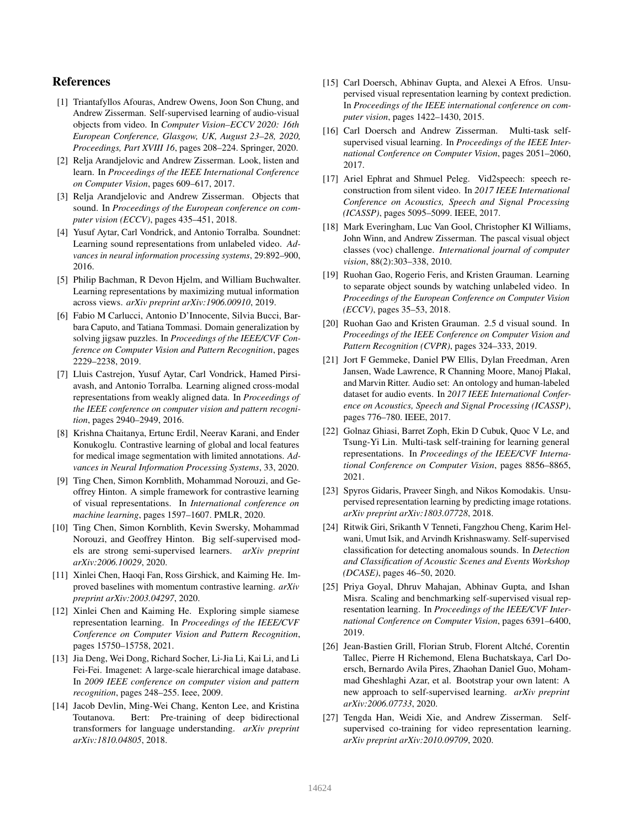## References

- [1] Triantafyllos Afouras, Andrew Owens, Joon Son Chung, and Andrew Zisserman. Self-supervised learning of audio-visual objects from video. In *Computer Vision–ECCV 2020: 16th European Conference, Glasgow, UK, August 23–28, 2020, Proceedings, Part XVIII 16*, pages 208–224. Springer, 2020.
- [2] Relja Arandjelovic and Andrew Zisserman. Look, listen and learn. In *Proceedings of the IEEE International Conference on Computer Vision*, pages 609–617, 2017.
- [3] Relja Arandjelovic and Andrew Zisserman. Objects that sound. In *Proceedings of the European conference on computer vision (ECCV)*, pages 435–451, 2018.
- [4] Yusuf Aytar, Carl Vondrick, and Antonio Torralba. Soundnet: Learning sound representations from unlabeled video. *Advances in neural information processing systems*, 29:892–900, 2016.
- [5] Philip Bachman, R Devon Hjelm, and William Buchwalter. Learning representations by maximizing mutual information across views. *arXiv preprint arXiv:1906.00910*, 2019.
- [6] Fabio M Carlucci, Antonio D'Innocente, Silvia Bucci, Barbara Caputo, and Tatiana Tommasi. Domain generalization by solving jigsaw puzzles. In *Proceedings of the IEEE/CVF Conference on Computer Vision and Pattern Recognition*, pages 2229–2238, 2019.
- [7] Lluis Castrejon, Yusuf Aytar, Carl Vondrick, Hamed Pirsiavash, and Antonio Torralba. Learning aligned cross-modal representations from weakly aligned data. In *Proceedings of the IEEE conference on computer vision and pattern recognition*, pages 2940–2949, 2016.
- [8] Krishna Chaitanya, Ertunc Erdil, Neerav Karani, and Ender Konukoglu. Contrastive learning of global and local features for medical image segmentation with limited annotations. *Advances in Neural Information Processing Systems*, 33, 2020.
- [9] Ting Chen, Simon Kornblith, Mohammad Norouzi, and Geoffrey Hinton. A simple framework for contrastive learning of visual representations. In *International conference on machine learning*, pages 1597–1607. PMLR, 2020.
- [10] Ting Chen, Simon Kornblith, Kevin Swersky, Mohammad Norouzi, and Geoffrey Hinton. Big self-supervised models are strong semi-supervised learners. *arXiv preprint arXiv:2006.10029*, 2020.
- [11] Xinlei Chen, Haoqi Fan, Ross Girshick, and Kaiming He. Improved baselines with momentum contrastive learning. *arXiv preprint arXiv:2003.04297*, 2020.
- [12] Xinlei Chen and Kaiming He. Exploring simple siamese representation learning. In *Proceedings of the IEEE/CVF Conference on Computer Vision and Pattern Recognition*, pages 15750–15758, 2021.
- [13] Jia Deng, Wei Dong, Richard Socher, Li-Jia Li, Kai Li, and Li Fei-Fei. Imagenet: A large-scale hierarchical image database. In *2009 IEEE conference on computer vision and pattern recognition*, pages 248–255. Ieee, 2009.
- [14] Jacob Devlin, Ming-Wei Chang, Kenton Lee, and Kristina Toutanova. Bert: Pre-training of deep bidirectional transformers for language understanding. *arXiv preprint arXiv:1810.04805*, 2018.
- [15] Carl Doersch, Abhinav Gupta, and Alexei A Efros. Unsupervised visual representation learning by context prediction. In *Proceedings of the IEEE international conference on computer vision*, pages 1422–1430, 2015.
- [16] Carl Doersch and Andrew Zisserman. Multi-task selfsupervised visual learning. In *Proceedings of the IEEE International Conference on Computer Vision*, pages 2051–2060, 2017.
- [17] Ariel Ephrat and Shmuel Peleg. Vid2speech: speech reconstruction from silent video. In *2017 IEEE International Conference on Acoustics, Speech and Signal Processing (ICASSP)*, pages 5095–5099. IEEE, 2017.
- [18] Mark Everingham, Luc Van Gool, Christopher KI Williams, John Winn, and Andrew Zisserman. The pascal visual object classes (voc) challenge. *International journal of computer vision*, 88(2):303–338, 2010.
- [19] Ruohan Gao, Rogerio Feris, and Kristen Grauman. Learning to separate object sounds by watching unlabeled video. In *Proceedings of the European Conference on Computer Vision (ECCV)*, pages 35–53, 2018.
- [20] Ruohan Gao and Kristen Grauman. 2.5 d visual sound. In *Proceedings of the IEEE Conference on Computer Vision and Pattern Recognition (CVPR)*, pages 324–333, 2019.
- [21] Jort F Gemmeke, Daniel PW Ellis, Dylan Freedman, Aren Jansen, Wade Lawrence, R Channing Moore, Manoj Plakal, and Marvin Ritter. Audio set: An ontology and human-labeled dataset for audio events. In *2017 IEEE International Conference on Acoustics, Speech and Signal Processing (ICASSP)*, pages 776–780. IEEE, 2017.
- [22] Golnaz Ghiasi, Barret Zoph, Ekin D Cubuk, Quoc V Le, and Tsung-Yi Lin. Multi-task self-training for learning general representations. In *Proceedings of the IEEE/CVF International Conference on Computer Vision*, pages 8856–8865, 2021.
- [23] Spyros Gidaris, Praveer Singh, and Nikos Komodakis. Unsupervised representation learning by predicting image rotations. *arXiv preprint arXiv:1803.07728*, 2018.
- [24] Ritwik Giri, Srikanth V Tenneti, Fangzhou Cheng, Karim Helwani, Umut Isik, and Arvindh Krishnaswamy. Self-supervised classification for detecting anomalous sounds. In *Detection and Classification of Acoustic Scenes and Events Workshop (DCASE)*, pages 46–50, 2020.
- [25] Priya Goyal, Dhruv Mahajan, Abhinav Gupta, and Ishan Misra. Scaling and benchmarking self-supervised visual representation learning. In *Proceedings of the IEEE/CVF International Conference on Computer Vision*, pages 6391–6400, 2019.
- [26] Jean-Bastien Grill, Florian Strub, Florent Altché, Corentin Tallec, Pierre H Richemond, Elena Buchatskaya, Carl Doersch, Bernardo Avila Pires, Zhaohan Daniel Guo, Mohammad Gheshlaghi Azar, et al. Bootstrap your own latent: A new approach to self-supervised learning. *arXiv preprint arXiv:2006.07733*, 2020.
- [27] Tengda Han, Weidi Xie, and Andrew Zisserman. Selfsupervised co-training for video representation learning. *arXiv preprint arXiv:2010.09709*, 2020.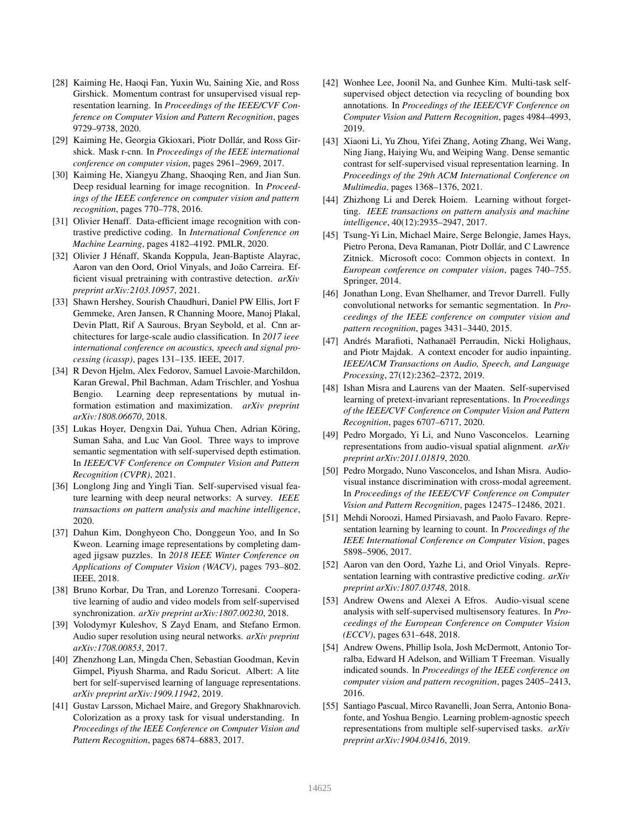- [28] Kaiming He, Haoqi Fan, Yuxin Wu, Saining Xie, and Ross Girshick. Momentum contrast for unsupervised visual representation learning. In *Proceedings of the IEEE/CVF Conference on Computer Vision and Pattern Recognition*, pages 9729–9738, 2020.
- [29] Kaiming He, Georgia Gkioxari, Piotr Dollár, and Ross Girshick. Mask r-cnn. In *Proceedings of the IEEE international conference on computer vision*, pages 2961–2969, 2017.
- [30] Kaiming He, Xiangyu Zhang, Shaoqing Ren, and Jian Sun. Deep residual learning for image recognition. In *Proceedings of the IEEE conference on computer vision and pattern recognition*, pages 770–778, 2016.
- [31] Olivier Henaff. Data-efficient image recognition with contrastive predictive coding. In *International Conference on Machine Learning*, pages 4182–4192. PMLR, 2020.
- [32] Olivier J Hénaff, Skanda Koppula, Jean-Baptiste Alayrac, Aaron van den Oord, Oriol Vinyals, and João Carreira. Efficient visual pretraining with contrastive detection. *arXiv preprint arXiv:2103.10957*, 2021.
- [33] Shawn Hershey, Sourish Chaudhuri, Daniel PW Ellis, Jort F Gemmeke, Aren Jansen, R Channing Moore, Manoj Plakal, Devin Platt, Rif A Saurous, Bryan Seybold, et al. Cnn architectures for large-scale audio classification. In *2017 ieee international conference on acoustics, speech and signal processing (icassp)*, pages 131–135. IEEE, 2017.
- [34] R Devon Hjelm, Alex Fedorov, Samuel Lavoie-Marchildon, Karan Grewal, Phil Bachman, Adam Trischler, and Yoshua Bengio. Learning deep representations by mutual information estimation and maximization. *arXiv preprint arXiv:1808.06670*, 2018.
- [35] Lukas Hoyer, Dengxin Dai, Yuhua Chen, Adrian Köring, Suman Saha, and Luc Van Gool. Three ways to improve semantic segmentation with self-supervised depth estimation. In *IEEE/CVF Conference on Computer Vision and Pattern Recognition (CVPR)*, 2021.
- [36] Longlong Jing and Yingli Tian. Self-supervised visual feature learning with deep neural networks: A survey. *IEEE transactions on pattern analysis and machine intelligence*, 2020.
- [37] Dahun Kim, Donghyeon Cho, Donggeun Yoo, and In So Kweon. Learning image representations by completing damaged jigsaw puzzles. In *2018 IEEE Winter Conference on Applications of Computer Vision (WACV)*, pages 793–802. IEEE, 2018.
- [38] Bruno Korbar, Du Tran, and Lorenzo Torresani. Cooperative learning of audio and video models from self-supervised synchronization. *arXiv preprint arXiv:1807.00230*, 2018.
- [39] Volodymyr Kuleshov, S Zayd Enam, and Stefano Ermon. Audio super resolution using neural networks. *arXiv preprint arXiv:1708.00853*, 2017.
- [40] Zhenzhong Lan, Mingda Chen, Sebastian Goodman, Kevin Gimpel, Piyush Sharma, and Radu Soricut. Albert: A lite bert for self-supervised learning of language representations. *arXiv preprint arXiv:1909.11942*, 2019.
- [41] Gustav Larsson, Michael Maire, and Gregory Shakhnarovich. Colorization as a proxy task for visual understanding. In *Proceedings of the IEEE Conference on Computer Vision and Pattern Recognition*, pages 6874–6883, 2017.
- [42] Wonhee Lee, Joonil Na, and Gunhee Kim. Multi-task selfsupervised object detection via recycling of bounding box annotations. In *Proceedings of the IEEE/CVF Conference on Computer Vision and Pattern Recognition*, pages 4984–4993, 2019.
- [43] Xiaoni Li, Yu Zhou, Yifei Zhang, Aoting Zhang, Wei Wang, Ning Jiang, Haiying Wu, and Weiping Wang. Dense semantic contrast for self-supervised visual representation learning. In *Proceedings of the 29th ACM International Conference on Multimedia*, pages 1368–1376, 2021.
- [44] Zhizhong Li and Derek Hoiem. Learning without forgetting. *IEEE transactions on pattern analysis and machine intelligence*, 40(12):2935–2947, 2017.
- [45] Tsung-Yi Lin, Michael Maire, Serge Belongie, James Hays, Pietro Perona, Deva Ramanan, Piotr Dollár, and C Lawrence Zitnick. Microsoft coco: Common objects in context. In *European conference on computer vision*, pages 740–755. Springer, 2014.
- [46] Jonathan Long, Evan Shelhamer, and Trevor Darrell. Fully convolutional networks for semantic segmentation. In *Proceedings of the IEEE conference on computer vision and pattern recognition*, pages 3431–3440, 2015.
- [47] Andrés Marafioti, Nathanaël Perraudin, Nicki Holighaus, and Piotr Majdak. A context encoder for audio inpainting. *IEEE/ACM Transactions on Audio, Speech, and Language Processing*, 27(12):2362–2372, 2019.
- [48] Ishan Misra and Laurens van der Maaten. Self-supervised learning of pretext-invariant representations. In *Proceedings of the IEEE/CVF Conference on Computer Vision and Pattern Recognition*, pages 6707–6717, 2020.
- [49] Pedro Morgado, Yi Li, and Nuno Vasconcelos. Learning representations from audio-visual spatial alignment. *arXiv preprint arXiv:2011.01819*, 2020.
- [50] Pedro Morgado, Nuno Vasconcelos, and Ishan Misra. Audiovisual instance discrimination with cross-modal agreement. In *Proceedings of the IEEE/CVF Conference on Computer Vision and Pattern Recognition*, pages 12475–12486, 2021.
- [51] Mehdi Noroozi, Hamed Pirsiavash, and Paolo Favaro. Representation learning by learning to count. In *Proceedings of the IEEE International Conference on Computer Vision*, pages 5898–5906, 2017.
- [52] Aaron van den Oord, Yazhe Li, and Oriol Vinyals. Representation learning with contrastive predictive coding. *arXiv preprint arXiv:1807.03748*, 2018.
- [53] Andrew Owens and Alexei A Efros. Audio-visual scene analysis with self-supervised multisensory features. In *Proceedings of the European Conference on Computer Vision (ECCV)*, pages 631–648, 2018.
- [54] Andrew Owens, Phillip Isola, Josh McDermott, Antonio Torralba, Edward H Adelson, and William T Freeman. Visually indicated sounds. In *Proceedings of the IEEE conference on computer vision and pattern recognition*, pages 2405–2413, 2016.
- [55] Santiago Pascual, Mirco Ravanelli, Joan Serra, Antonio Bonafonte, and Yoshua Bengio. Learning problem-agnostic speech representations from multiple self-supervised tasks. *arXiv preprint arXiv:1904.03416*, 2019.